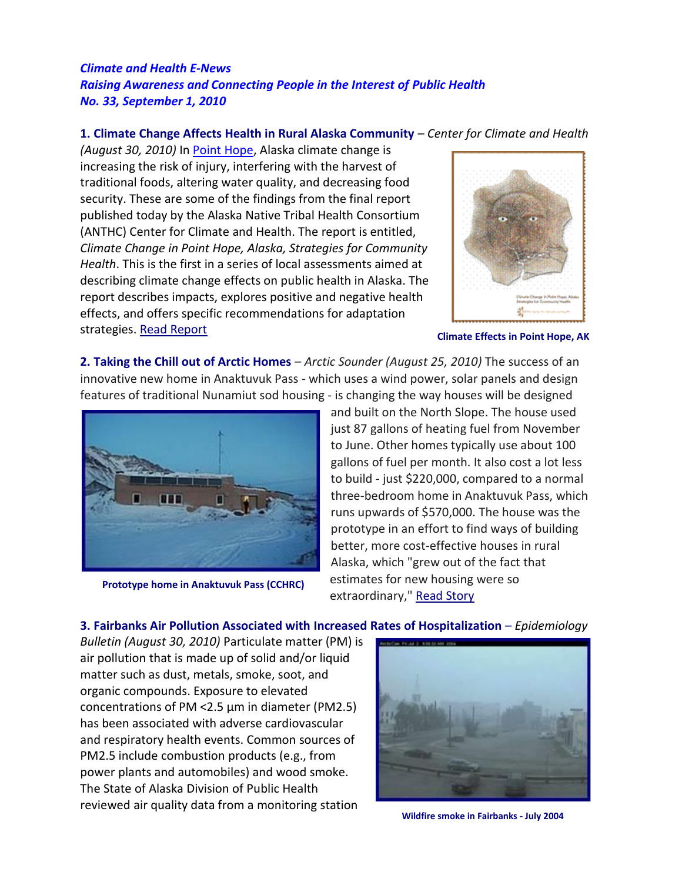## *Climate and Health E-News Raising Awareness and Connecting People in the Interest of Public Health No. 33, September 1, 2010*

## **1. Climate Change Affects Health in Rural Alaska Community** – *Center for Climate and Health*

*(August 30, 2010)* In [Point Hope,](http://www.bestplaces.net/images/city/PointHope_AK.gif) Alaska climate change is increasing the risk of injury, interfering with the harvest of traditional foods, altering water quality, and decreasing food security. These are some of the findings from the final report published today by the Alaska Native Tribal Health Consortium (ANTHC) Center for Climate and Health. The report is entitled, *Climate Change in Point Hope, Alaska, Strategies for Community Health*. This is the first in a series of local assessments aimed at describing climate change effects on public health in Alaska. The report describes impacts, explores positive and negative health effects, and offers specific recommendations for adaptation strategies. [Read Report](https://anthc.org/wp-content/uploads/2016/01/CCH_AR_082010_Climate-Change-in-Point-Hope.pdf)



**Climate Effects in Point Hope, AK**

**2. Taking the Chill out of Arctic Homes** – *Arctic Sounder (August 25, 2010)* The success of an innovative new home in Anaktuvuk Pass - which uses a wind power, solar panels and design features of traditional Nunamiut sod housing - is changing the way houses will be designed



**Prototype home in Anaktuvuk Pass (CCHRC)**

and built on the North Slope. The house used just 87 gallons of heating fuel from November to June. Other homes typically use about 100 gallons of fuel per month. It also cost a lot less to build - just \$220,000, compared to a normal three-bedroom home in Anaktuvuk Pass, which runs upwards of \$570,000. The house was the prototype in an effort to find ways of building better, more cost-effective houses in rural Alaska, which "grew out of the fact that estimates for new housing were so extraordinary," [Read Story](http://www.thearcticsounder.com/article/1034taking_the_chill_out_of_arctic_homes)

## **3. Fairbanks Air Pollution Associated with Increased Rates of Hospitalization** – *Epidemiology*

*Bulletin (August 30, 2010)* Particulate matter (PM) is air pollution that is made up of solid and/or liquid matter such as dust, metals, smoke, soot, and organic compounds. Exposure to elevated concentrations of PM <2.5 μm in diameter (PM2.5) has been associated with adverse cardiovascular and respiratory health events. Common sources of PM2.5 include combustion products (e.g., from power plants and automobiles) and wood smoke. The State of Alaska Division of Public Health reviewed air quality data from a monitoring station



**Wildfire smoke in Fairbanks - July 2004**